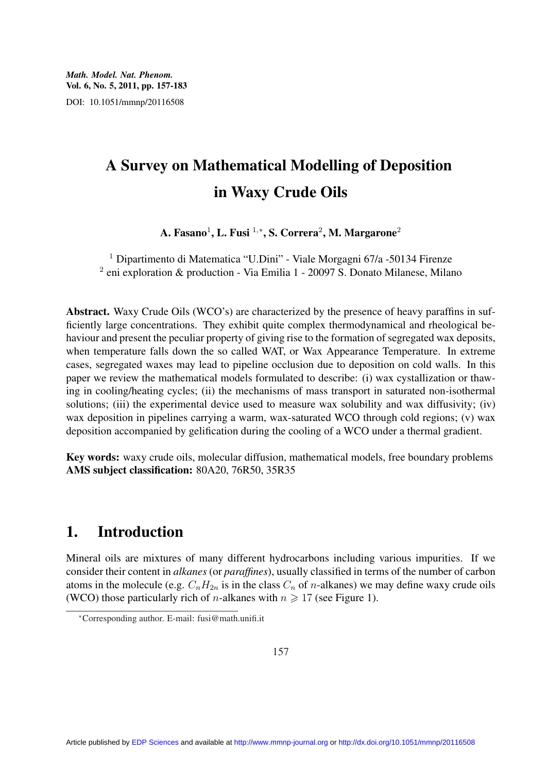# A Survey on Mathematical Modelling of Deposition in Waxy Crude Oils

A. Fasano $^1$ , L. Fusi  $^{1,\ast},$  S. Correra $^2$ , M. Margarone $^2$ 

<sup>1</sup> Dipartimento di Matematica "U.Dini" - Viale Morgagni 67/a -50134 Firenze <sup>2</sup> eni exploration & production - Via Emilia 1 - 20097 S. Donato Milanese, Milano

Abstract. Waxy Crude Oils (WCO's) are characterized by the presence of heavy paraffins in sufficiently large concentrations. They exhibit quite complex thermodynamical and rheological behaviour and present the peculiar property of giving rise to the formation of segregated wax deposits, when temperature falls down the so called WAT, or Wax Appearance Temperature. In extreme cases, segregated waxes may lead to pipeline occlusion due to deposition on cold walls. In this paper we review the mathematical models formulated to describe: (i) wax cystallization or thawing in cooling/heating cycles; (ii) the mechanisms of mass transport in saturated non-isothermal solutions; (iii) the experimental device used to measure wax solubility and wax diffusivity; (iv) wax deposition in pipelines carrying a warm, wax-saturated WCO through cold regions; (v) wax deposition accompanied by gelification during the cooling of a WCO under a thermal gradient.

Key words: waxy crude oils, molecular diffusion, mathematical models, free boundary problems AMS subject classification: 80A20, 76R50, 35R35

# 1. Introduction

Mineral oils are mixtures of many different hydrocarbons including various impurities. If we consider their content in *alkanes* (or *paraffines*), usually classified in terms of the number of carbon atoms in the molecule (e.g.  $C_nH_{2n}$  is in the class  $C_n$  of *n*-alkanes) we may define waxy crude oils (WCO) those particularly rich of *n*-alkanes with  $n \ge 17$  (see Figure 1).

<sup>∗</sup>Corresponding author. E-mail: fusi@math.unifi.it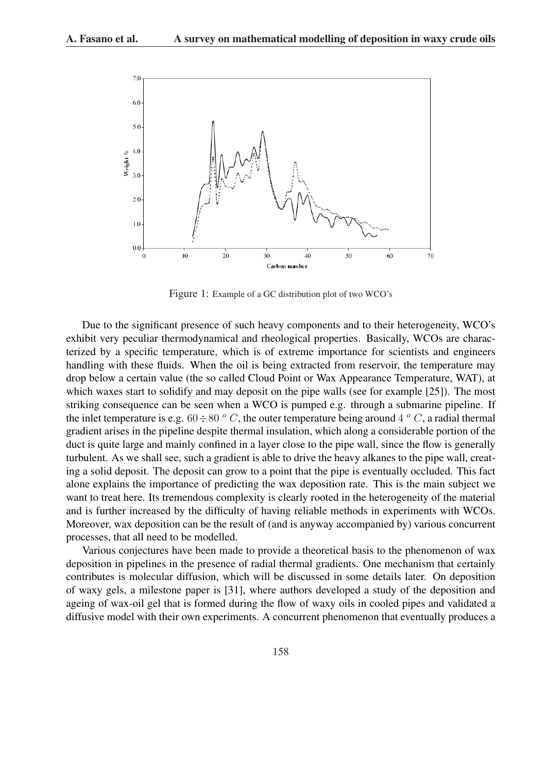

Figure 1: Example of a GC distribution plot of two WCO's

Due to the significant presence of such heavy components and to their heterogeneity, WCO's exhibit very peculiar thermodynamical and rheological properties. Basically, WCOs are characterized by a specific temperature, which is of extreme importance for scientists and engineers handling with these fluids. When the oil is being extracted from reservoir, the temperature may drop below a certain value (the so called Cloud Point or Wax Appearance Temperature, WAT), at which waxes start to solidify and may deposit on the pipe walls (see for example [25]). The most striking consequence can be seen when a WCO is pumped e.g. through a submarine pipeline. If the inlet temperature is e.g. 60  $\div$  80  $^{\circ}$  C, the outer temperature being around 4  $^{\circ}$  C, a radial thermal gradient arises in the pipeline despite thermal insulation, which along a considerable portion of the duct is quite large and mainly confined in a layer close to the pipe wall, since the flow is generally turbulent. As we shall see, such a gradient is able to drive the heavy alkanes to the pipe wall, creating a solid deposit. The deposit can grow to a point that the pipe is eventually occluded. This fact alone explains the importance of predicting the wax deposition rate. This is the main subject we want to treat here. Its tremendous complexity is clearly rooted in the heterogeneity of the material and is further increased by the difficulty of having reliable methods in experiments with WCOs. Moreover, wax deposition can be the result of (and is anyway accompanied by) various concurrent processes, that all need to be modelled.

Various conjectures have been made to provide a theoretical basis to the phenomenon of wax deposition in pipelines in the presence of radial thermal gradients. One mechanism that certainly contributes is molecular diffusion, which will be discussed in some details later. On deposition of waxy gels, a milestone paper is [31], where authors developed a study of the deposition and ageing of wax-oil gel that is formed during the flow of waxy oils in cooled pipes and validated a diffusive model with their own experiments. A concurrent phenomenon that eventually produces a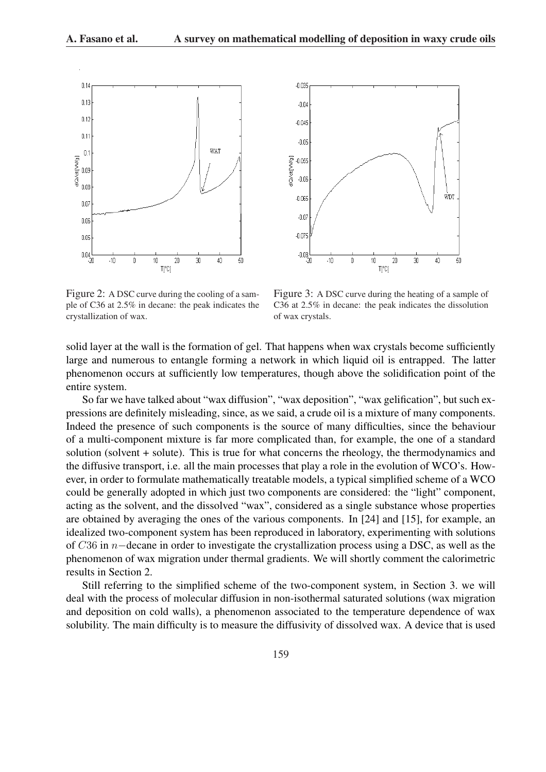



Figure 2: A DSC curve during the cooling of a sample of C36 at 2.5% in decane: the peak indicates the crystallization of wax.

Figure 3: A DSC curve during the heating of a sample of C36 at 2.5% in decane: the peak indicates the dissolution of wax crystals.

solid layer at the wall is the formation of gel. That happens when wax crystals become sufficiently large and numerous to entangle forming a network in which liquid oil is entrapped. The latter phenomenon occurs at sufficiently low temperatures, though above the solidification point of the entire system.

So far we have talked about "wax diffusion", "wax deposition", "wax gelification", but such expressions are definitely misleading, since, as we said, a crude oil is a mixture of many components. Indeed the presence of such components is the source of many difficulties, since the behaviour of a multi-component mixture is far more complicated than, for example, the one of a standard solution (solvent + solute). This is true for what concerns the rheology, the thermodynamics and the diffusive transport, i.e. all the main processes that play a role in the evolution of WCO's. However, in order to formulate mathematically treatable models, a typical simplified scheme of a WCO could be generally adopted in which just two components are considered: the "light" component, acting as the solvent, and the dissolved "wax", considered as a single substance whose properties are obtained by averaging the ones of the various components. In [24] and [15], for example, an idealized two-component system has been reproduced in laboratory, experimenting with solutions of C36 in n−decane in order to investigate the crystallization process using a DSC, as well as the phenomenon of wax migration under thermal gradients. We will shortly comment the calorimetric results in Section 2.

Still referring to the simplified scheme of the two-component system, in Section 3. we will deal with the process of molecular diffusion in non-isothermal saturated solutions (wax migration and deposition on cold walls), a phenomenon associated to the temperature dependence of wax solubility. The main difficulty is to measure the diffusivity of dissolved wax. A device that is used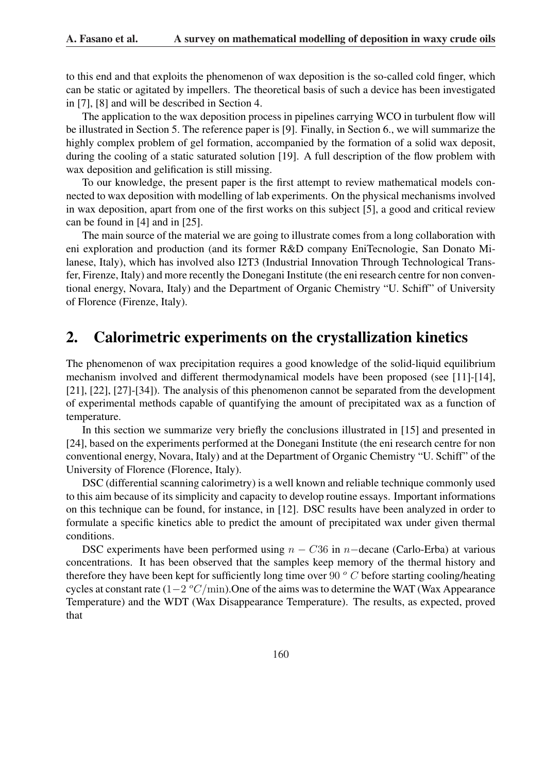to this end and that exploits the phenomenon of wax deposition is the so-called cold finger, which can be static or agitated by impellers. The theoretical basis of such a device has been investigated in [7], [8] and will be described in Section 4.

The application to the wax deposition process in pipelines carrying WCO in turbulent flow will be illustrated in Section 5. The reference paper is [9]. Finally, in Section 6., we will summarize the highly complex problem of gel formation, accompanied by the formation of a solid wax deposit, during the cooling of a static saturated solution [19]. A full description of the flow problem with wax deposition and gelification is still missing.

To our knowledge, the present paper is the first attempt to review mathematical models connected to wax deposition with modelling of lab experiments. On the physical mechanisms involved in wax deposition, apart from one of the first works on this subject [5], a good and critical review can be found in [4] and in [25].

The main source of the material we are going to illustrate comes from a long collaboration with eni exploration and production (and its former R&D company EniTecnologie, San Donato Milanese, Italy), which has involved also I2T3 (Industrial Innovation Through Technological Transfer, Firenze, Italy) and more recently the Donegani Institute (the eni research centre for non conventional energy, Novara, Italy) and the Department of Organic Chemistry "U. Schiff" of University of Florence (Firenze, Italy).

# 2. Calorimetric experiments on the crystallization kinetics

The phenomenon of wax precipitation requires a good knowledge of the solid-liquid equilibrium mechanism involved and different thermodynamical models have been proposed (see [11]-[14], [21], [22], [27]-[34]). The analysis of this phenomenon cannot be separated from the development of experimental methods capable of quantifying the amount of precipitated wax as a function of temperature.

In this section we summarize very briefly the conclusions illustrated in [15] and presented in [24], based on the experiments performed at the Donegani Institute (the eni research centre for non conventional energy, Novara, Italy) and at the Department of Organic Chemistry "U. Schiff" of the University of Florence (Florence, Italy).

DSC (differential scanning calorimetry) is a well known and reliable technique commonly used to this aim because of its simplicity and capacity to develop routine essays. Important informations on this technique can be found, for instance, in [12]. DSC results have been analyzed in order to formulate a specific kinetics able to predict the amount of precipitated wax under given thermal conditions.

DSC experiments have been performed using  $n - C36$  in n–decane (Carlo-Erba) at various concentrations. It has been observed that the samples keep memory of the thermal history and therefore they have been kept for sufficiently long time over 90  $^{\circ}$  C before starting cooling/heating cycles at constant rate  $(1-2 \ ^oC/\text{min})$ . One of the aims was to determine the WAT (Wax Appearance Temperature) and the WDT (Wax Disappearance Temperature). The results, as expected, proved that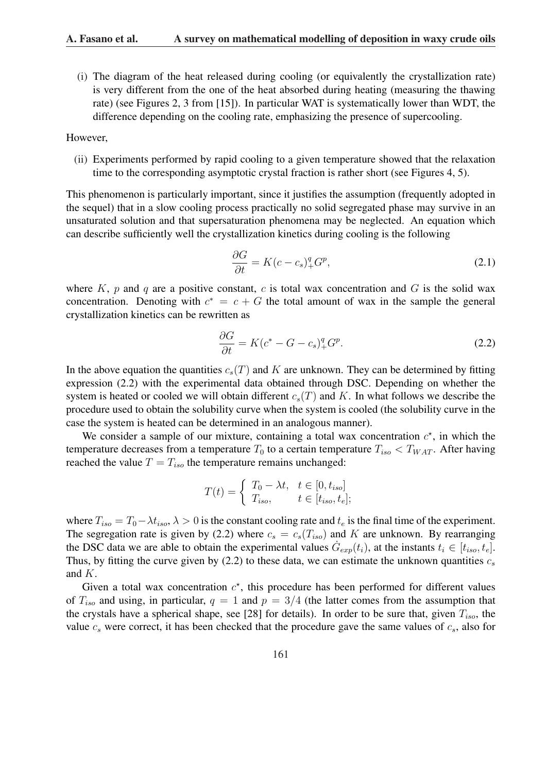(i) The diagram of the heat released during cooling (or equivalently the crystallization rate) is very different from the one of the heat absorbed during heating (measuring the thawing rate) (see Figures 2, 3 from [15]). In particular WAT is systematically lower than WDT, the difference depending on the cooling rate, emphasizing the presence of supercooling.

#### However,

(ii) Experiments performed by rapid cooling to a given temperature showed that the relaxation time to the corresponding asymptotic crystal fraction is rather short (see Figures 4, 5).

This phenomenon is particularly important, since it justifies the assumption (frequently adopted in the sequel) that in a slow cooling process practically no solid segregated phase may survive in an unsaturated solution and that supersaturation phenomena may be neglected. An equation which can describe sufficiently well the crystallization kinetics during cooling is the following

$$
\frac{\partial G}{\partial t} = K(c - c_s)_+^q G^p,\tag{2.1}
$$

where K, p and q are a positive constant, c is total wax concentration and G is the solid wax concentration. Denoting with  $c^* = c + G$  the total amount of wax in the sample the general crystallization kinetics can be rewritten as

$$
\frac{\partial G}{\partial t} = K(c^* - G - c_s)_+^q G^p. \tag{2.2}
$$

In the above equation the quantities  $c_s(T)$  and K are unknown. They can be determined by fitting expression (2.2) with the experimental data obtained through DSC. Depending on whether the system is heated or cooled we will obtain different  $c_s(T)$  and K. In what follows we describe the procedure used to obtain the solubility curve when the system is cooled (the solubility curve in the case the system is heated can be determined in an analogous manner).

We consider a sample of our mixture, containing a total wax concentration  $c^*$ , in which the temperature decreases from a temperature  $T_0$  to a certain temperature  $T_{iso} < T_{WAT}$ . After having reached the value  $T = T_{iso}$  the temperature remains unchanged:

$$
T(t) = \begin{cases} T_0 - \lambda t, & t \in [0, t_{iso}] \\ T_{iso}, & t \in [t_{iso}, t_e]; \end{cases}
$$

where  $T_{iso} = T_0 - \lambda t_{iso}$ ,  $\lambda > 0$  is the constant cooling rate and  $t_e$  is the final time of the experiment. The segregation rate is given by (2.2) where  $c_s = c_s(T_{iso})$  and K are unknown. By rearranging the DSC data we are able to obtain the experimental values  $G_{exp}(t_i)$ , at the instants  $t_i \in [t_{iso}, t_e]$ . Thus, by fitting the curve given by  $(2.2)$  to these data, we can estimate the unknown quantities  $c_s$ and K.

Given a total wax concentration  $c^*$ , this procedure has been performed for different values of  $T_{iso}$  and using, in particular,  $q = 1$  and  $p = 3/4$  (the latter comes from the assumption that the crystals have a spherical shape, see [28] for details). In order to be sure that, given  $T_{iso}$ , the value  $c_s$  were correct, it has been checked that the procedure gave the same values of  $c_s$ , also for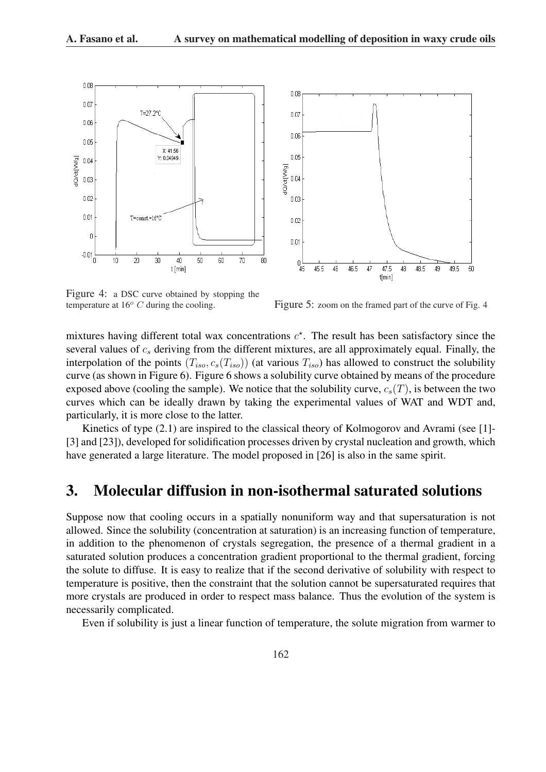



Figure 4: a DSC curve obtained by stopping the

temperature at  $16^{\circ}$  C during the cooling. Figure 5: zoom on the framed part of the curve of Fig. 4

mixtures having different total wax concentrations  $c^*$ . The result has been satisfactory since the several values of  $c_s$  deriving from the different mixtures, are all approximately equal. Finally, the interpolation of the points  $(T_{iso}, c_s(T_{iso}))$  (at various  $T_{iso}$ ) has allowed to construct the solubility curve (as shown in Figure 6). Figure 6 shows a solubility curve obtained by means of the procedure exposed above (cooling the sample). We notice that the solubility curve,  $c_s(T)$ , is between the two curves which can be ideally drawn by taking the experimental values of WAT and WDT and, particularly, it is more close to the latter.

Kinetics of type  $(2.1)$  are inspired to the classical theory of Kolmogorov and Avrami (see [1]-[3] and [23]), developed for solidification processes driven by crystal nucleation and growth, which have generated a large literature. The model proposed in [26] is also in the same spirit.

### 3. Molecular diffusion in non-isothermal saturated solutions

Suppose now that cooling occurs in a spatially nonuniform way and that supersaturation is not allowed. Since the solubility (concentration at saturation) is an increasing function of temperature, in addition to the phenomenon of crystals segregation, the presence of a thermal gradient in a saturated solution produces a concentration gradient proportional to the thermal gradient, forcing the solute to diffuse. It is easy to realize that if the second derivative of solubility with respect to temperature is positive, then the constraint that the solution cannot be supersaturated requires that more crystals are produced in order to respect mass balance. Thus the evolution of the system is necessarily complicated.

Even if solubility is just a linear function of temperature, the solute migration from warmer to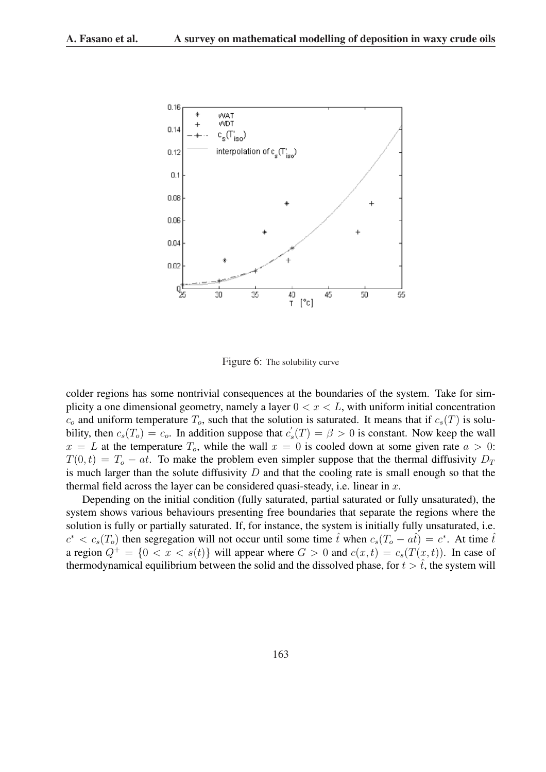

Figure 6: The solubility curve

colder regions has some nontrivial consequences at the boundaries of the system. Take for simplicity a one dimensional geometry, namely a layer  $0 < x < L$ , with uniform initial concentration  $c<sub>o</sub>$  and uniform temperature  $T<sub>o</sub>$ , such that the solution is saturated. It means that if  $c<sub>s</sub>(T)$  is solubility, then  $c_s(T_o) = c_o$ . In addition suppose that  $c'_s$  $s'_{s}(T) = \beta > 0$  is constant. Now keep the wall  $x = L$  at the temperature  $T<sub>o</sub>$ , while the wall  $x = 0$  is cooled down at some given rate  $a > 0$ :  $T(0, t) = T_0 - at$ . To make the problem even simpler suppose that the thermal diffusivity  $D_T$ is much larger than the solute diffusivity  $D$  and that the cooling rate is small enough so that the thermal field across the layer can be considered quasi-steady, i.e. linear in  $x$ .

Depending on the initial condition (fully saturated, partial saturated or fully unsaturated), the system shows various behaviours presenting free boundaries that separate the regions where the solution is fully or partially saturated. If, for instance, the system is initially fully unsaturated, i.e.  $c^* < c_s(T_o)$  then segregation will not occur until some time  $\hat{t}$  when  $c_s(T_o - a\hat{t}) = c^*$ . At time  $\hat{t}$ a region  $Q^+ = \{0 < x < s(t)\}$  will appear where  $G > 0$  and  $c(x, t) = c_s(T(x, t))$ . In case of thermodynamical equilibrium between the solid and the dissolved phase, for  $t > \hat{t}$ , the system will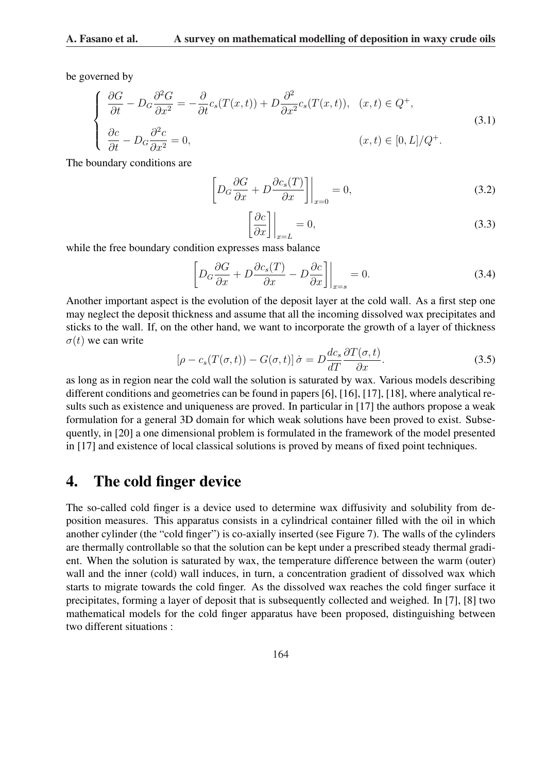be governed by

$$
\begin{cases}\n\frac{\partial G}{\partial t} - D_G \frac{\partial^2 G}{\partial x^2} = -\frac{\partial}{\partial t} c_s(T(x, t)) + D \frac{\partial^2}{\partial x^2} c_s(T(x, t)), & (x, t) \in Q^+, \\
\frac{\partial c}{\partial t} - D_G \frac{\partial^2 c}{\partial x^2} = 0, & (x, t) \in [0, L]/Q^+.\n\end{cases} (3.1)
$$

The boundary conditions are

$$
\left[ D_G \frac{\partial G}{\partial x} + D \frac{\partial c_s(T)}{\partial x} \right] \Big|_{x=0} = 0,
$$
\n(3.2)

$$
\left[\frac{\partial c}{\partial x}\right]_{x=L} = 0,\tag{3.3}
$$

while the free boundary condition expresses mass balance

$$
\left[ D_G \frac{\partial G}{\partial x} + D \frac{\partial c_s(T)}{\partial x} - D \frac{\partial c}{\partial x} \right] \Big|_{x=s} = 0.
$$
\n(3.4)

Another important aspect is the evolution of the deposit layer at the cold wall. As a first step one may neglect the deposit thickness and assume that all the incoming dissolved wax precipitates and sticks to the wall. If, on the other hand, we want to incorporate the growth of a layer of thickness  $\sigma(t)$  we can write

$$
[\rho - c_s(T(\sigma, t)) - G(\sigma, t)] \dot{\sigma} = D \frac{dc_s}{dT} \frac{\partial T(\sigma, t)}{\partial x}.
$$
 (3.5)

as long as in region near the cold wall the solution is saturated by wax. Various models describing different conditions and geometries can be found in papers [6], [16], [17], [18], where analytical results such as existence and uniqueness are proved. In particular in [17] the authors propose a weak formulation for a general 3D domain for which weak solutions have been proved to exist. Subsequently, in [20] a one dimensional problem is formulated in the framework of the model presented in [17] and existence of local classical solutions is proved by means of fixed point techniques.

### 4. The cold finger device

The so-called cold finger is a device used to determine wax diffusivity and solubility from deposition measures. This apparatus consists in a cylindrical container filled with the oil in which another cylinder (the "cold finger") is co-axially inserted (see Figure 7). The walls of the cylinders are thermally controllable so that the solution can be kept under a prescribed steady thermal gradient. When the solution is saturated by wax, the temperature difference between the warm (outer) wall and the inner (cold) wall induces, in turn, a concentration gradient of dissolved wax which starts to migrate towards the cold finger. As the dissolved wax reaches the cold finger surface it precipitates, forming a layer of deposit that is subsequently collected and weighed. In [7], [8] two mathematical models for the cold finger apparatus have been proposed, distinguishing between two different situations :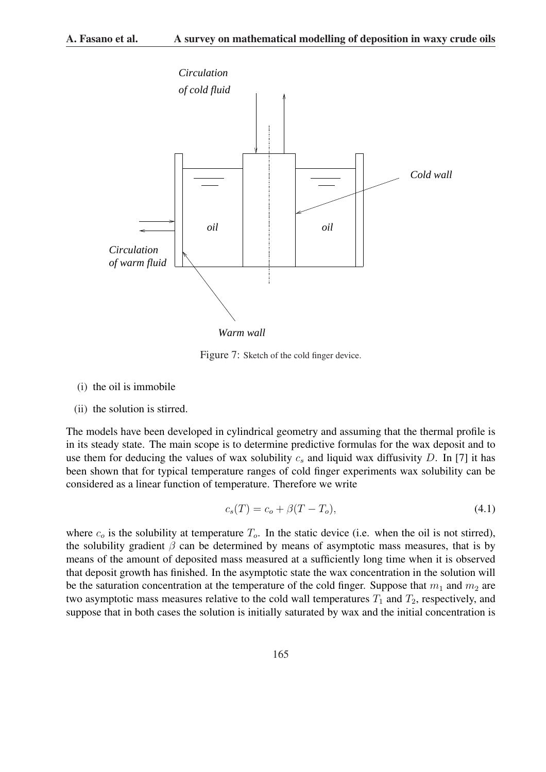

Figure 7: Sketch of the cold finger device.

- (i) the oil is immobile
- (ii) the solution is stirred.

The models have been developed in cylindrical geometry and assuming that the thermal profile is in its steady state. The main scope is to determine predictive formulas for the wax deposit and to use them for deducing the values of wax solubility  $c_s$  and liquid wax diffusivity D. In [7] it has been shown that for typical temperature ranges of cold finger experiments wax solubility can be considered as a linear function of temperature. Therefore we write

$$
c_s(T) = c_o + \beta (T - T_o), \tag{4.1}
$$

where  $c<sub>o</sub>$  is the solubility at temperature  $T<sub>o</sub>$ . In the static device (i.e. when the oil is not stirred), the solubility gradient  $\beta$  can be determined by means of asymptotic mass measures, that is by means of the amount of deposited mass measured at a sufficiently long time when it is observed that deposit growth has finished. In the asymptotic state the wax concentration in the solution will be the saturation concentration at the temperature of the cold finger. Suppose that  $m_1$  and  $m_2$  are two asymptotic mass measures relative to the cold wall temperatures  $T_1$  and  $T_2$ , respectively, and suppose that in both cases the solution is initially saturated by wax and the initial concentration is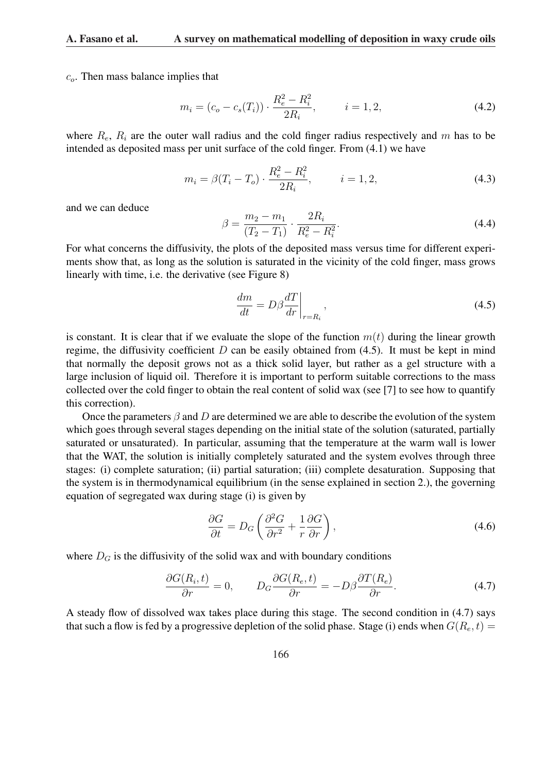$c<sub>o</sub>$ . Then mass balance implies that

$$
m_i = (c_o - c_s(T_i)) \cdot \frac{R_e^2 - R_i^2}{2R_i}, \qquad i = 1, 2,
$$
\n(4.2)

where  $R_e$ ,  $R_i$  are the outer wall radius and the cold finger radius respectively and m has to be intended as deposited mass per unit surface of the cold finger. From (4.1) we have

$$
m_i = \beta (T_i - T_o) \cdot \frac{R_e^2 - R_i^2}{2R_i}, \qquad i = 1, 2,
$$
\n(4.3)

and we can deduce

$$
\beta = \frac{m_2 - m_1}{(T_2 - T_1)} \cdot \frac{2R_i}{R_e^2 - R_i^2}.
$$
\n(4.4)

For what concerns the diffusivity, the plots of the deposited mass versus time for different experiments show that, as long as the solution is saturated in the vicinity of the cold finger, mass grows linearly with time, i.e. the derivative (see Figure 8)

$$
\frac{dm}{dt} = D\beta \frac{dT}{dr}\bigg|_{r=R_i},\tag{4.5}
$$

is constant. It is clear that if we evaluate the slope of the function  $m(t)$  during the linear growth regime, the diffusivity coefficient  $D$  can be easily obtained from (4.5). It must be kept in mind that normally the deposit grows not as a thick solid layer, but rather as a gel structure with a large inclusion of liquid oil. Therefore it is important to perform suitable corrections to the mass collected over the cold finger to obtain the real content of solid wax (see [7] to see how to quantify this correction).

Once the parameters  $\beta$  and D are determined we are able to describe the evolution of the system which goes through several stages depending on the initial state of the solution (saturated, partially saturated or unsaturated). In particular, assuming that the temperature at the warm wall is lower that the WAT, the solution is initially completely saturated and the system evolves through three stages: (i) complete saturation; (ii) partial saturation; (iii) complete desaturation. Supposing that the system is in thermodynamical equilibrium (in the sense explained in section 2.), the governing equation of segregated wax during stage (i) is given by

$$
\frac{\partial G}{\partial t} = D_G \left( \frac{\partial^2 G}{\partial r^2} + \frac{1}{r} \frac{\partial G}{\partial r} \right),\tag{4.6}
$$

where  $D_G$  is the diffusivity of the solid wax and with boundary conditions

$$
\frac{\partial G(R_i, t)}{\partial r} = 0, \qquad D_G \frac{\partial G(R_e, t)}{\partial r} = -D\beta \frac{\partial T(R_e)}{\partial r}.
$$
\n(4.7)

A steady flow of dissolved wax takes place during this stage. The second condition in (4.7) says that such a flow is fed by a progressive depletion of the solid phase. Stage (i) ends when  $G(R_e, t)$  =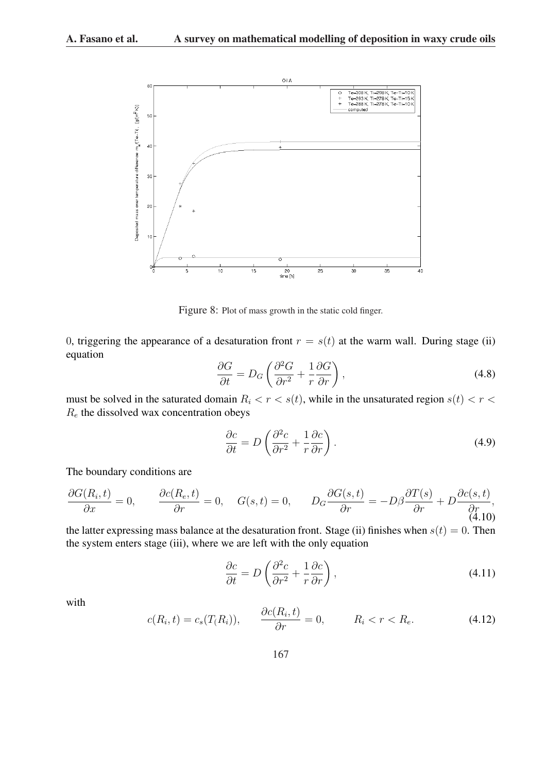

Figure 8: Plot of mass growth in the static cold finger.

0, triggering the appearance of a desaturation front  $r = s(t)$  at the warm wall. During stage (ii) equation  $\overline{a}$ 

$$
\frac{\partial G}{\partial t} = D_G \left( \frac{\partial^2 G}{\partial r^2} + \frac{1}{r} \frac{\partial G}{\partial r} \right),\tag{4.8}
$$

must be solved in the saturated domain  $R_i < r < s(t)$ , while in the unsaturated region  $s(t) < r <$  $R_e$  the dissolved wax concentration obeys

$$
\frac{\partial c}{\partial t} = D \left( \frac{\partial^2 c}{\partial r^2} + \frac{1}{r} \frac{\partial c}{\partial r} \right).
$$
\n(4.9)

The boundary conditions are

$$
\frac{\partial G(R_i, t)}{\partial x} = 0, \qquad \frac{\partial c(R_e, t)}{\partial r} = 0, \quad G(s, t) = 0, \qquad D_G \frac{\partial G(s, t)}{\partial r} = -D\beta \frac{\partial T(s)}{\partial r} + D \frac{\partial c(s, t)}{\partial r},
$$
\n(4.10)

the latter expressing mass balance at the desaturation front. Stage (ii) finishes when  $s(t) = 0$ . Then the system enters stage (iii), where we are left with the only equation

$$
\frac{\partial c}{\partial t} = D \left( \frac{\partial^2 c}{\partial r^2} + \frac{1}{r} \frac{\partial c}{\partial r} \right),\tag{4.11}
$$

with

$$
c(R_i, t) = c_s(T_i, t), \qquad \frac{\partial c(R_i, t)}{\partial r} = 0, \qquad R_i < r < R_e. \tag{4.12}
$$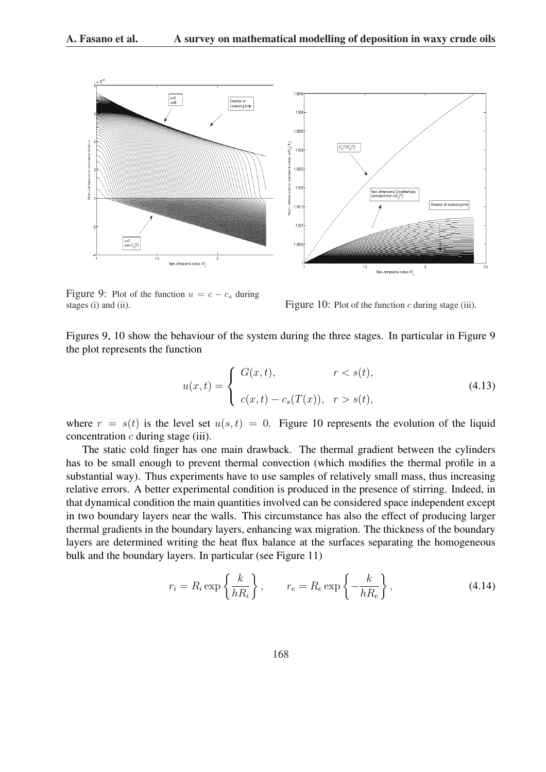

Figure 9: Plot of the function  $u = c - c_s$  during stages (i) and (ii). Figure 10: Plot of the function  $c$  during stage (iii).

Figures 9, 10 show the behaviour of the system during the three stages. In particular in Figure 9 the plot represents the function

$$
u(x,t) = \begin{cases} G(x,t), & r < s(t), \\ c(x,t) - c_s(T(x)), & r > s(t), \end{cases}
$$
(4.13)

where  $r = s(t)$  is the level set  $u(s,t) = 0$ . Figure 10 represents the evolution of the liquid concentration  $c$  during stage (iii).

The static cold finger has one main drawback. The thermal gradient between the cylinders has to be small enough to prevent thermal convection (which modifies the thermal profile in a substantial way). Thus experiments have to use samples of relatively small mass, thus increasing relative errors. A better experimental condition is produced in the presence of stirring. Indeed, in that dynamical condition the main quantities involved can be considered space independent except in two boundary layers near the walls. This circumstance has also the effect of producing larger thermal gradients in the boundary layers, enhancing wax migration. The thickness of the boundary layers are determined writing the heat flux balance at the surfaces separating the homogeneous bulk and the boundary layers. In particular (see Figure 11)

$$
r_i = R_i \exp\left\{\frac{k}{hR_i}\right\}, \qquad r_e = R_e \exp\left\{-\frac{k}{hR_e}\right\}, \tag{4.14}
$$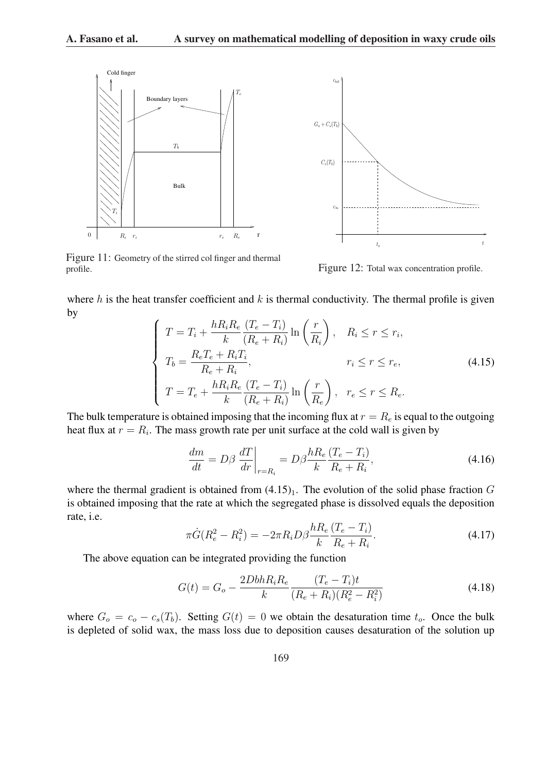



Figure 11: Geometry of the stirred col finger and thermal profile.

Figure 12: Total wax concentration profile.

where h is the heat transfer coefficient and  $k$  is thermal conductivity. The thermal profile is given by  $\overline{a}$  $\mathbf{r}$ 

$$
\begin{cases}\nT = T_i + \frac{hR_iR_e}{k} \frac{(T_e - T_i)}{(R_e + R_i)} \ln\left(\frac{r}{R_i}\right), & R_i \le r \le r_i, \\
T_b = \frac{R_eT_e + R_iT_i}{R_e + R_i}, & r_i \le r \le r_e, \\
T = T_e + \frac{hR_iR_e}{k} \frac{(T_e - T_i)}{(R_e + R_i)} \ln\left(\frac{r}{R_e}\right), & r_e \le r \le R_e.\n\end{cases} (4.15)
$$

The bulk temperature is obtained imposing that the incoming flux at  $r = R_e$  is equal to the outgoing heat flux at  $r = R_i$ . The mass growth rate per unit surface at the cold wall is given by

$$
\frac{dm}{dt} = D\beta \left. \frac{dT}{dr} \right|_{r=R_i} = D\beta \frac{hR_e}{k} \frac{(T_e - T_i)}{R_e + R_i},\tag{4.16}
$$

where the thermal gradient is obtained from  $(4.15)<sub>1</sub>$ . The evolution of the solid phase fraction G is obtained imposing that the rate at which the segregated phase is dissolved equals the deposition rate, i.e.

$$
\pi \dot{G}(R_e^2 - R_i^2) = -2\pi R_i D\beta \frac{hR_e}{k} \frac{(T_e - T_i)}{R_e + R_i}.
$$
\n(4.17)

The above equation can be integrated providing the function

$$
G(t) = G_o - \frac{2DbhR_iR_e}{k} \frac{(T_e - T_i)t}{(R_e + R_i)(R_e^2 - R_i^2)}
$$
(4.18)

where  $G_o = c_o - c_s(T_b)$ . Setting  $G(t) = 0$  we obtain the desaturation time  $t_o$ . Once the bulk is depleted of solid wax, the mass loss due to deposition causes desaturation of the solution up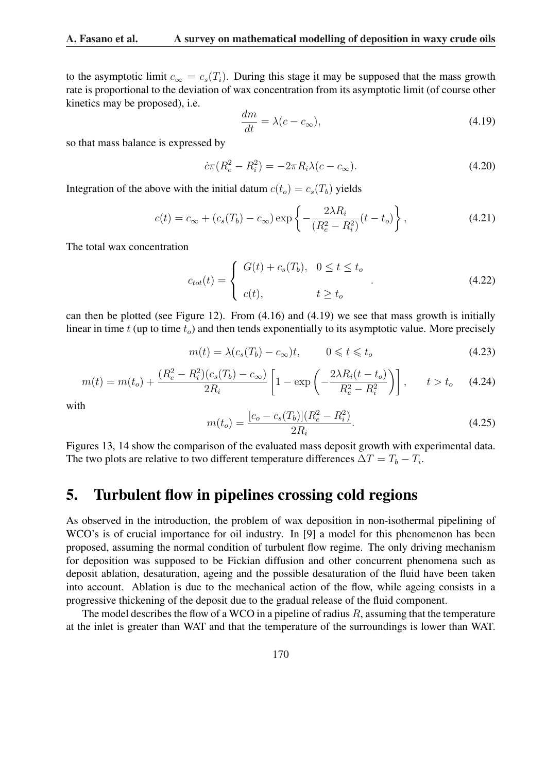to the asymptotic limit  $c_{\infty} = c_s(T_i)$ . During this stage it may be supposed that the mass growth rate is proportional to the deviation of wax concentration from its asymptotic limit (of course other kinetics may be proposed), i.e.

$$
\frac{dm}{dt} = \lambda(c - c_{\infty}),\tag{4.19}
$$

so that mass balance is expressed by

$$
\dot{c}\pi (R_e^2 - R_i^2) = -2\pi R_i \lambda (c - c_\infty). \tag{4.20}
$$

Integration of the above with the initial datum  $c(t_o) = c_s(T_b)$  yields

$$
c(t) = c_{\infty} + (c_s(T_b) - c_{\infty}) \exp\left\{-\frac{2\lambda R_i}{(R_e^2 - R_i^2)}(t - t_o)\right\},
$$
\n(4.21)

The total wax concentration

$$
c_{tot}(t) = \begin{cases} G(t) + c_s(T_b), & 0 \le t \le t_o \\ c(t), & t \ge t_o \end{cases}
$$
 (4.22)

can then be plotted (see Figure 12). From (4.16) and (4.19) we see that mass growth is initially linear in time  $t$  (up to time  $t_o$ ) and then tends exponentially to its asymptotic value. More precisely

$$
m(t) = \lambda (c_s(T_b) - c_\infty)t, \qquad 0 \leq t \leq t_o \tag{4.23}
$$

$$
m(t) = m(t_o) + \frac{(R_e^2 - R_i^2)(c_s(T_b) - c_\infty)}{2R_i} \left[ 1 - \exp\left( -\frac{2\lambda R_i(t - t_o)}{R_e^2 - R_i^2} \right) \right], \qquad t > t_o \tag{4.24}
$$

with

$$
m(t_o) = \frac{[c_o - c_s(T_b)](R_e^2 - R_i^2)}{2R_i}.
$$
\n(4.25)

Figures 13, 14 show the comparison of the evaluated mass deposit growth with experimental data. The two plots are relative to two different temperature differences  $\Delta T = T_b - T_i$ .

#### 5. Turbulent flow in pipelines crossing cold regions

As observed in the introduction, the problem of wax deposition in non-isothermal pipelining of WCO's is of crucial importance for oil industry. In [9] a model for this phenomenon has been proposed, assuming the normal condition of turbulent flow regime. The only driving mechanism for deposition was supposed to be Fickian diffusion and other concurrent phenomena such as deposit ablation, desaturation, ageing and the possible desaturation of the fluid have been taken into account. Ablation is due to the mechanical action of the flow, while ageing consists in a progressive thickening of the deposit due to the gradual release of the fluid component.

The model describes the flow of a WCO in a pipeline of radius  $R$ , assuming that the temperature at the inlet is greater than WAT and that the temperature of the surroundings is lower than WAT.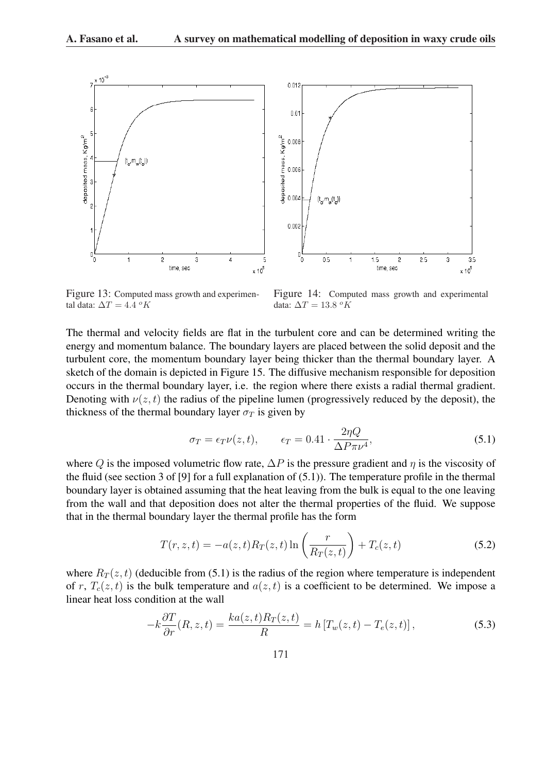

Figure 13: Computed mass growth and experimental data:  $\Delta T = 4.4 \ ^oK$ 

Figure 14: Computed mass growth and experimental data:  $\Delta T = 13.8 \ ^oK$ 

The thermal and velocity fields are flat in the turbulent core and can be determined writing the energy and momentum balance. The boundary layers are placed between the solid deposit and the turbulent core, the momentum boundary layer being thicker than the thermal boundary layer. A sketch of the domain is depicted in Figure 15. The diffusive mechanism responsible for deposition occurs in the thermal boundary layer, i.e. the region where there exists a radial thermal gradient. Denoting with  $\nu(z, t)$  the radius of the pipeline lumen (progressively reduced by the deposit), the thickness of the thermal boundary layer  $\sigma_T$  is given by

$$
\sigma_T = \epsilon_T \nu(z, t), \qquad \epsilon_T = 0.41 \cdot \frac{2\eta Q}{\Delta P \pi \nu^4}, \tag{5.1}
$$

where Q is the imposed volumetric flow rate,  $\Delta P$  is the pressure gradient and  $\eta$  is the viscosity of the fluid (see section 3 of [9] for a full explanation of (5.1)). The temperature profile in the thermal boundary layer is obtained assuming that the heat leaving from the bulk is equal to the one leaving from the wall and that deposition does not alter the thermal properties of the fluid. We suppose that in the thermal boundary layer the thermal profile has the form

$$
T(r, z, t) = -a(z, t)R_T(z, t)\ln\left(\frac{r}{R_T(z, t)}\right) + T_c(z, t)
$$
\n(5.2)

where  $R_T(z, t)$  (deducible from (5.1) is the radius of the region where temperature is independent of r,  $T_c(z, t)$  is the bulk temperature and  $a(z, t)$  is a coefficient to be determined. We impose a linear heat loss condition at the wall

$$
-k\frac{\partial T}{\partial r}(R,z,t) = \frac{ka(z,t)R_T(z,t)}{R} = h\left[T_w(z,t) - T_e(z,t)\right],\tag{5.3}
$$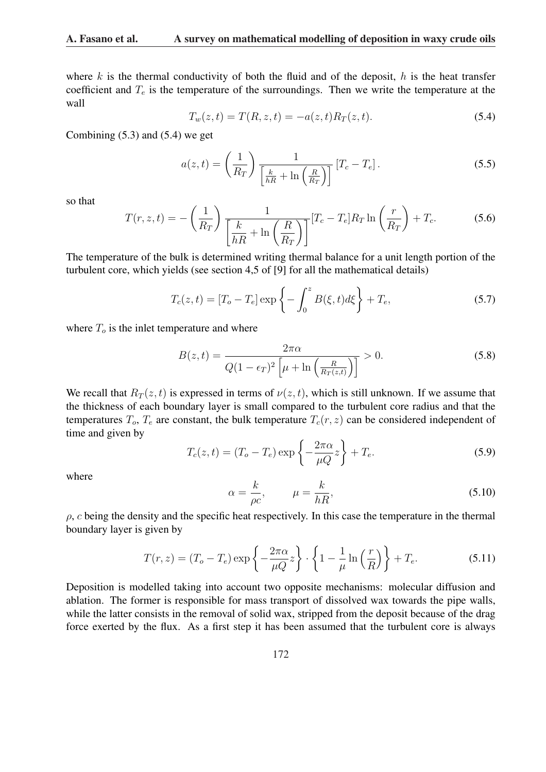where  $k$  is the thermal conductivity of both the fluid and of the deposit,  $h$  is the heat transfer coefficient and  $T_e$  is the temperature of the surroundings. Then we write the temperature at the wall

$$
T_w(z,t) = T(R, z, t) = -a(z, t)R_T(z, t).
$$
\n(5.4)

Combining (5.3) and (5.4) we get

$$
a(z,t) = \left(\frac{1}{R_T}\right) \frac{1}{\left[\frac{k}{hR} + \ln\left(\frac{R}{R_T}\right)\right]} \left[T_c - T_e\right].
$$
\n(5.5)

so that

$$
T(r, z, t) = -\left(\frac{1}{R_T}\right) \frac{1}{\left[\frac{k}{hR} + \ln\left(\frac{R}{R_T}\right)\right]} [T_c - T_e] R_T \ln\left(\frac{r}{R_T}\right) + T_c.
$$
 (5.6)

The temperature of the bulk is determined writing thermal balance for a unit length portion of the turbulent core, which yields (see section 4,5 of [9] for all the mathematical details)

$$
T_c(z,t) = [T_o - T_e] \exp\left\{-\int_0^z B(\xi, t) d\xi\right\} + T_e,
$$
\n(5.7)

where  $T<sub>o</sub>$  is the inlet temperature and where

$$
B(z,t) = \frac{2\pi\alpha}{Q(1-\epsilon_T)^2 \left[\mu + \ln\left(\frac{R}{R_T(z,t)}\right)\right]} > 0.
$$
\n(5.8)

We recall that  $R_T(z, t)$  is expressed in terms of  $\nu(z, t)$ , which is still unknown. If we assume that the thickness of each boundary layer is small compared to the turbulent core radius and that the temperatures  $T_o$ ,  $T_e$  are constant, the bulk temperature  $T_c(r, z)$  can be considered independent of time and given by  $\mathbf{A}^{\dagger}$ 

$$
T_c(z,t) = (T_o - T_e) \exp\left\{-\frac{2\pi\alpha}{\mu Q}z\right\} + T_e.
$$
 (5.9)

where

$$
\alpha = \frac{k}{\rho c}, \qquad \mu = \frac{k}{hR}, \tag{5.10}
$$

 $\rho$ , c being the density and the specific heat respectively. In this case the temperature in the thermal boundary layer is given by

$$
T(r,z) = (T_o - T_e) \exp\left\{-\frac{2\pi\alpha}{\mu Q}z\right\} \cdot \left\{1 - \frac{1}{\mu}\ln\left(\frac{r}{R}\right)\right\} + T_e.
$$
 (5.11)

Deposition is modelled taking into account two opposite mechanisms: molecular diffusion and ablation. The former is responsible for mass transport of dissolved wax towards the pipe walls, while the latter consists in the removal of solid wax, stripped from the deposit because of the drag force exerted by the flux. As a first step it has been assumed that the turbulent core is always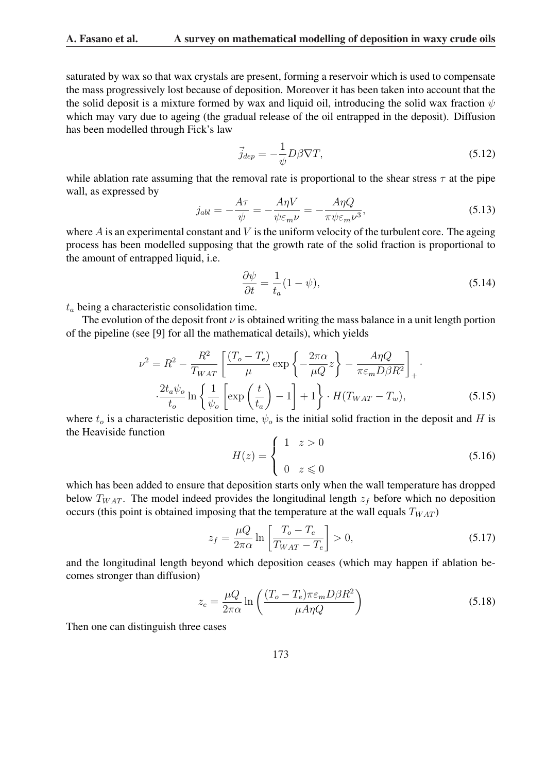saturated by wax so that wax crystals are present, forming a reservoir which is used to compensate the mass progressively lost because of deposition. Moreover it has been taken into account that the the solid deposit is a mixture formed by wax and liquid oil, introducing the solid wax fraction  $\psi$ which may vary due to ageing (the gradual release of the oil entrapped in the deposit). Diffusion has been modelled through Fick's law

$$
\vec{j}_{dep} = -\frac{1}{\psi} D\beta \nabla T,\tag{5.12}
$$

while ablation rate assuming that the removal rate is proportional to the shear stress  $\tau$  at the pipe wall, as expressed by

$$
j_{abl} = -\frac{A\tau}{\psi} = -\frac{A\eta V}{\psi \varepsilon_m \nu} = -\frac{A\eta Q}{\pi \psi \varepsilon_m \nu^3},\tag{5.13}
$$

where  $A$  is an experimental constant and  $V$  is the uniform velocity of the turbulent core. The ageing process has been modelled supposing that the growth rate of the solid fraction is proportional to the amount of entrapped liquid, i.e.

$$
\frac{\partial \psi}{\partial t} = \frac{1}{t_a} (1 - \psi),\tag{5.14}
$$

 $t_a$  being a characteristic consolidation time.

The evolution of the deposit front  $\nu$  is obtained writing the mass balance in a unit length portion of the pipeline (see [9] for all the mathematical details), which yields

$$
\nu^2 = R^2 - \frac{R^2}{T_{WAT}} \left[ \frac{(T_o - T_e)}{\mu} \exp\left\{-\frac{2\pi\alpha}{\mu Q}z\right\} - \frac{A\eta Q}{\pi\varepsilon_m D\beta R^2} \right]_+.
$$
  

$$
\frac{2t_a\psi_o}{t_o} \ln\left\{\frac{1}{\psi_o} \left[\exp\left(\frac{t}{t_a}\right) - 1\right] + 1\right\} \cdot H(T_{WAT} - T_w),
$$
(5.15)

where  $t_o$  is a characteristic deposition time,  $\psi_o$  is the initial solid fraction in the deposit and H is the Heaviside function  $\overline{a}$ 

$$
H(z) = \begin{cases} 1 & z > 0 \\ 0 & z \leq 0 \end{cases} \tag{5.16}
$$

which has been added to ensure that deposition starts only when the wall temperature has dropped below  $T_{WAT}$ . The model indeed provides the longitudinal length  $z_f$  before which no deposition occurs (this point is obtained imposing that the temperature at the wall equals  $T_{WAT}$ )

$$
z_f = \frac{\mu Q}{2\pi\alpha} \ln \left[ \frac{T_o - T_e}{T_{WAT} - T_e} \right] > 0,
$$
\n(5.17)

and the longitudinal length beyond which deposition ceases (which may happen if ablation becomes stronger than diffusion)

$$
z_e = \frac{\mu Q}{2\pi\alpha} \ln\left(\frac{(T_o - T_e)\pi\varepsilon_m D\beta R^2}{\mu A\eta Q}\right)
$$
 (5.18)

Then one can distinguish three cases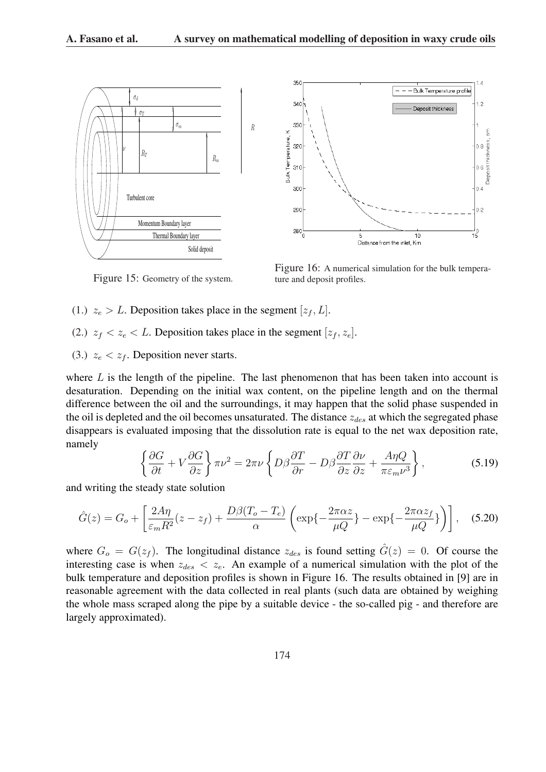



Figure 15: Geometry of the system.

Figure 16: A numerical simulation for the bulk temperature and deposit profiles.

- (1.)  $z_e > L$ . Deposition takes place in the segment  $[z_f, L]$ .
- (2.)  $z_f < z_e < L$ . Deposition takes place in the segment  $[z_f, z_e]$ .
- (3.)  $z_e < z_f$ . Deposition never starts.

where  $L$  is the length of the pipeline. The last phenomenon that has been taken into account is desaturation. Depending on the initial wax content, on the pipeline length and on the thermal difference between the oil and the surroundings, it may happen that the solid phase suspended in the oil is depleted and the oil becomes unsaturated. The distance  $z_{des}$  at which the segregated phase disappears is evaluated imposing that the dissolution rate is equal to the net wax deposition rate, namely ½  $\mathbf{A}$ 

$$
\left\{\frac{\partial G}{\partial t} + V\frac{\partial G}{\partial z}\right\}\pi\nu^2 = 2\pi\nu\left\{D\beta\frac{\partial T}{\partial r} - D\beta\frac{\partial T}{\partial z}\frac{\partial \nu}{\partial z} + \frac{A\eta Q}{\pi\varepsilon_m\nu^3}\right\},\tag{5.19}
$$

and writing the steady state solution

$$
\hat{G}(z) = G_o + \left[\frac{2A\eta}{\varepsilon_m R^2}(z - z_f) + \frac{D\beta(T_o - T_e)}{\alpha} \left(\exp\{-\frac{2\pi\alpha z}{\mu Q}\} - \exp\{-\frac{2\pi\alpha z_f}{\mu Q}\}\right)\right],
$$
 (5.20)

where  $G_o = G(z_f)$ . The longitudinal distance  $z_{des}$  is found setting  $\hat{G}(z) = 0$ . Of course the interesting case is when  $z_{des} < z_e$ . An example of a numerical simulation with the plot of the bulk temperature and deposition profiles is shown in Figure 16. The results obtained in [9] are in reasonable agreement with the data collected in real plants (such data are obtained by weighing the whole mass scraped along the pipe by a suitable device - the so-called pig - and therefore are largely approximated).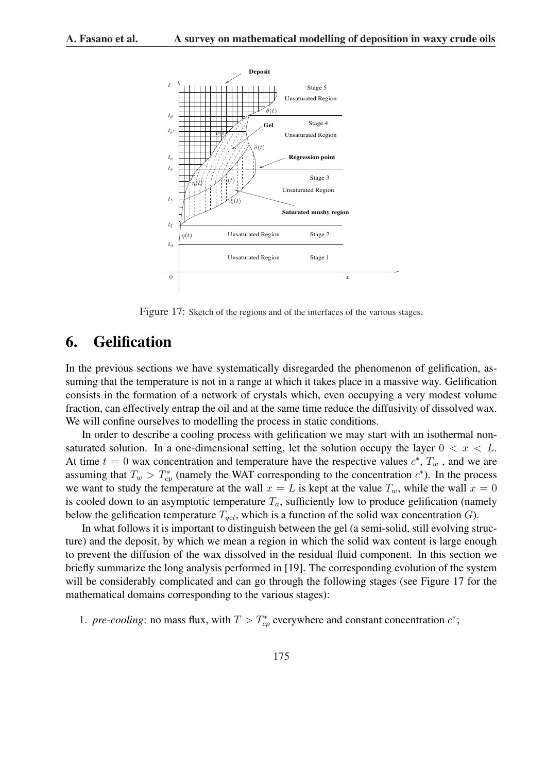

Figure 17: Sketch of the regions and of the interfaces of the various stages.

# 6. Gelification

In the previous sections we have systematically disregarded the phenomenon of gelification, assuming that the temperature is not in a range at which it takes place in a massive way. Gelification consists in the formation of a network of crystals which, even occupying a very modest volume fraction, can effectively entrap the oil and at the same time reduce the diffusivity of dissolved wax. We will confine ourselves to modelling the process in static conditions.

In order to describe a cooling process with gelification we may start with an isothermal nonsaturated solution. In a one-dimensional setting, let the solution occupy the layer  $0 < x < L$ . At time  $t = 0$  wax concentration and temperature have the respective values  $c^*$ ,  $T_w$ , and we are assuming that  $T_w > T_{cp}^*$  (namely the WAT corresponding to the concentration  $c^*$ ). In the process we want to study the temperature at the wall  $x = L$  is kept at the value  $T_w$ , while the wall  $x = 0$ is cooled down to an asymptotic temperature  $T_a$ , sufficiently low to produce gelification (namely below the gelification temperature  $T_{gel}$ , which is a function of the solid wax concentration G).

In what follows it is important to distinguish between the gel (a semi-solid, still evolving structure) and the deposit, by which we mean a region in which the solid wax content is large enough to prevent the diffusion of the wax dissolved in the residual fluid component. In this section we briefly summarize the long analysis performed in [19]. The corresponding evolution of the system will be considerably complicated and can go through the following stages (see Figure 17 for the mathematical domains corresponding to the various stages):

1. *pre-cooling*: no mass flux, with  $T > T_{cp}^*$  everywhere and constant concentration  $c^*$ ;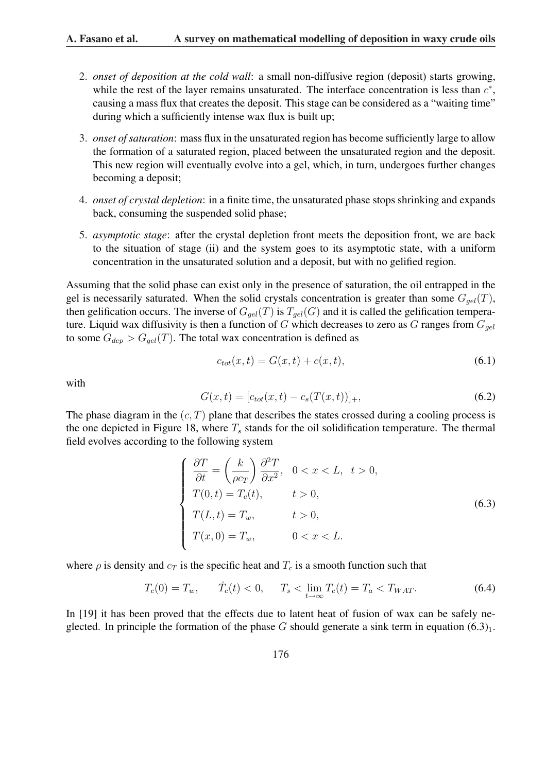- 2. *onset of deposition at the cold wall*: a small non-diffusive region (deposit) starts growing, while the rest of the layer remains unsaturated. The interface concentration is less than  $c^*$ , causing a mass flux that creates the deposit. This stage can be considered as a "waiting time" during which a sufficiently intense wax flux is built up;
- 3. *onset of saturation*: mass flux in the unsaturated region has become sufficiently large to allow the formation of a saturated region, placed between the unsaturated region and the deposit. This new region will eventually evolve into a gel, which, in turn, undergoes further changes becoming a deposit;
- 4. *onset of crystal depletion*: in a finite time, the unsaturated phase stops shrinking and expands back, consuming the suspended solid phase;
- 5. *asymptotic stage*: after the crystal depletion front meets the deposition front, we are back to the situation of stage (ii) and the system goes to its asymptotic state, with a uniform concentration in the unsaturated solution and a deposit, but with no gelified region.

Assuming that the solid phase can exist only in the presence of saturation, the oil entrapped in the gel is necessarily saturated. When the solid crystals concentration is greater than some  $G_{gel}(T)$ , then gelification occurs. The inverse of  $G_{gel}(T)$  is  $T_{gel}(G)$  and it is called the gelification temperature. Liquid wax diffusivity is then a function of G which decreases to zero as G ranges from  $G_{gel}$ to some  $G_{dep} > G_{gel}(T)$ . The total wax concentration is defined as

$$
c_{tot}(x,t) = G(x,t) + c(x,t),
$$
\n(6.1)

with

$$
G(x,t) = [c_{tot}(x,t) - c_s(T(x,t))]_+, \t\t(6.2)
$$

The phase diagram in the  $(c, T)$  plane that describes the states crossed during a cooling process is the one depicted in Figure 18, where  $T_s$  stands for the oil solidification temperature. The thermal field evolves according to the following system

$$
\begin{cases}\n\frac{\partial T}{\partial t} = \left(\frac{k}{\rho c_T}\right) \frac{\partial^2 T}{\partial x^2}, & 0 < x < L, \ t > 0, \\
T(0, t) = T_c(t), & t > 0, \\
T(L, t) = T_w, & t > 0, \\
T(x, 0) = T_w, & 0 < x < L.\n\end{cases}
$$
\n(6.3)

where  $\rho$  is density and  $c_T$  is the specific heat and  $T_c$  is a smooth function such that

$$
T_c(0) = T_w, \qquad \dot{T}_c(t) < 0, \qquad T_s < \lim_{t \to \infty} T_c(t) = T_a < T_{WAT}.\tag{6.4}
$$

In [19] it has been proved that the effects due to latent heat of fusion of wax can be safely neglected. In principle the formation of the phase G should generate a sink term in equation  $(6.3)<sub>1</sub>$ .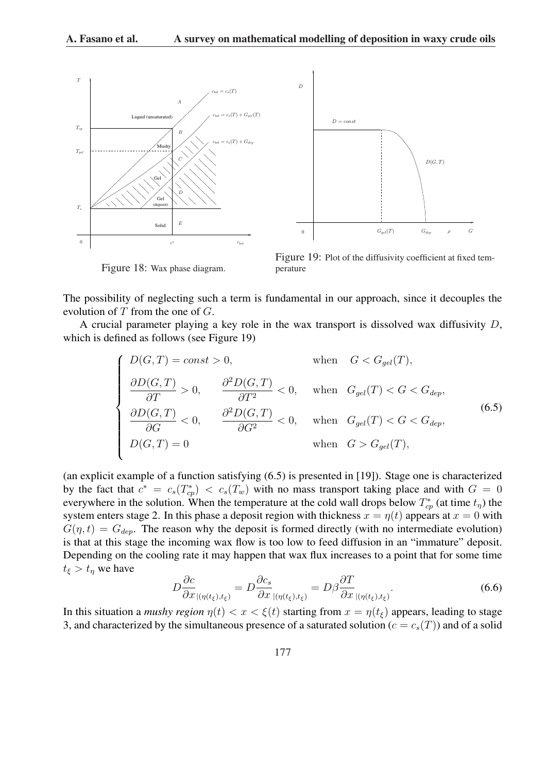



Figure 18: Wax phase diagram.

Figure 19: Plot of the diffusivity coefficient at fixed temperature

The possibility of neglecting such a term is fundamental in our approach, since it decouples the evolution of  $T$  from the one of  $G$ .

A crucial parameter playing a key role in the wax transport is dissolved wax diffusivity  $D$ , which is defined as follows (see Figure 19)

$$
\begin{cases}\nD(G,T) = const > 0, & \text{when } G < G_{gel}(T), \\
\frac{\partial D(G,T)}{\partial T} > 0, & \frac{\partial^2 D(G,T)}{\partial T^2} < 0, & \text{when } G_{gel}(T) < G < G_{dep}, \\
\frac{\partial D(G,T)}{\partial G} < 0, & \frac{\partial^2 D(G,T)}{\partial G^2} < 0, & \text{when } G_{gel}(T) < G < G_{dep}, \\
D(G,T) = 0 & \text{when } G > G_{gel}(T),\n\end{cases}
$$
\n(6.5)

(an explicit example of a function satisfying (6.5) is presented in [19]). Stage one is characterized by the fact that  $c^* = c_s(T_{cp}^*) < c_s(T_w)$  with no mass transport taking place and with  $G = 0$ everywhere in the solution. When the temperature at the cold wall drops below  $T_{cp}^*$  (at time  $t_{\eta}$ ) the system enters stage 2. In this phase a deposit region with thickness  $x = \eta(t)$  appears at  $x = 0$  with  $G(\eta, t) = G_{dep}$ . The reason why the deposit is formed directly (with no intermediate evolution) is that at this stage the incoming wax flow is too low to feed diffusion in an "immature" deposit. Depending on the cooling rate it may happen that wax flux increases to a point that for some time  $t_{\xi} > t_n$  we have

$$
D\frac{\partial c}{\partial x}_{\mid (\eta(t_{\xi}),t_{\xi})} = D\frac{\partial c_s}{\partial x}_{\mid (\eta(t_{\xi}),t_{\xi})} = D\beta \frac{\partial T}{\partial x}_{\mid (\eta(t_{\xi}),t_{\xi})}.
$$
\n(6.6)

In this situation a *mushy region*  $\eta(t) < x < \xi(t)$  starting from  $x = \eta(t_\xi)$  appears, leading to stage 3, and characterized by the simultaneous presence of a saturated solution ( $c = c_s(T)$ ) and of a solid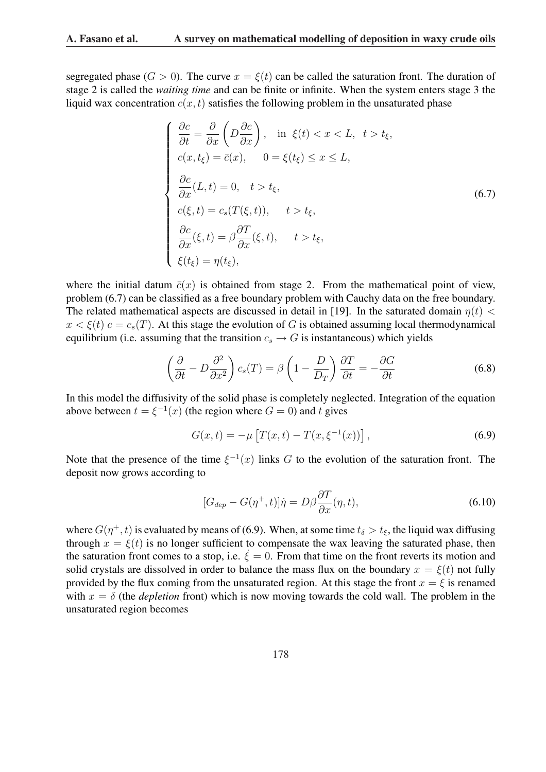segregated phase ( $G > 0$ ). The curve  $x = \xi(t)$  can be called the saturation front. The duration of stage 2 is called the *waiting time* and can be finite or infinite. When the system enters stage 3 the liquid wax concentration  $c(x, t)$  satisfies the following problem in the unsaturated phase

$$
\begin{cases}\n\frac{\partial c}{\partial t} = \frac{\partial}{\partial x} \left( D \frac{\partial c}{\partial x} \right), & \text{in } \xi(t) < x < L, \ t > t_{\xi}, \\
c(x, t_{\xi}) = \bar{c}(x), & 0 = \xi(t_{\xi}) \le x \le L, \\
\frac{\partial c}{\partial x}(L, t) = 0, \ t > t_{\xi}, \\
c(\xi, t) = c_s(T(\xi, t)), \ t > t_{\xi}, \\
\frac{\partial c}{\partial x}(\xi, t) = \beta \frac{\partial T}{\partial x}(\xi, t), \ t > t_{\xi}, \\
\xi(t_{\xi}) = \eta(t_{\xi}),\n\end{cases} \tag{6.7}
$$

where the initial datum  $\bar{c}(x)$  is obtained from stage 2. From the mathematical point of view, problem (6.7) can be classified as a free boundary problem with Cauchy data on the free boundary. The related mathematical aspects are discussed in detail in [19]. In the saturated domain  $\eta(t)$  <  $x < \xi(t)$   $c = c_s(T)$ . At this stage the evolution of G is obtained assuming local thermodynamical equilibrium (i.e. assuming that the transition  $c_s \to G$  is instantaneous) which yields

$$
\left(\frac{\partial}{\partial t} - D\frac{\partial^2}{\partial x^2}\right)c_s(T) = \beta \left(1 - \frac{D}{D_T}\right)\frac{\partial T}{\partial t} = -\frac{\partial G}{\partial t}
$$
\n(6.8)

In this model the diffusivity of the solid phase is completely neglected. Integration of the equation above between  $t = \xi^{-1}(x)$  (the region where  $G = 0$ ) and t gives

$$
G(x,t) = -\mu \left[ T(x,t) - T(x,\xi^{-1}(x)) \right],
$$
\n(6.9)

Note that the presence of the time  $\xi^{-1}(x)$  links G to the evolution of the saturation front. The deposit now grows according to

$$
[G_{dep} - G(\eta^+, t)]\dot{\eta} = D\beta \frac{\partial T}{\partial x}(\eta, t), \qquad (6.10)
$$

where  $G(\eta^+, t)$  is evaluated by means of (6.9). When, at some time  $t_\delta > t_\xi$ , the liquid wax diffusing through  $x = \xi(t)$  is no longer sufficient to compensate the wax leaving the saturated phase, then the saturation front comes to a stop, i.e.  $\dot{\xi} = 0$ . From that time on the front reverts its motion and solid crystals are dissolved in order to balance the mass flux on the boundary  $x = \xi(t)$  not fully provided by the flux coming from the unsaturated region. At this stage the front  $x = \xi$  is renamed with  $x = \delta$  (the *depletion* front) which is now moving towards the cold wall. The problem in the unsaturated region becomes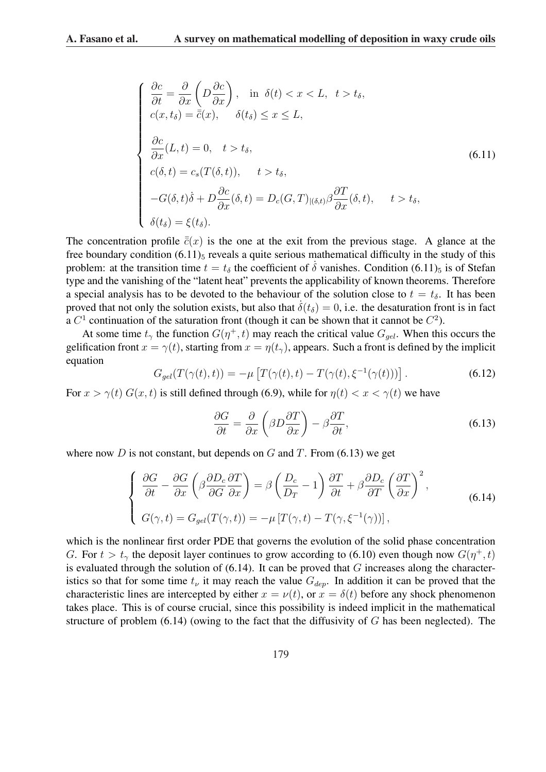$$
\begin{cases}\n\frac{\partial c}{\partial t} = \frac{\partial}{\partial x} \left( D \frac{\partial c}{\partial x} \right), & \text{in } \delta(t) < x < L, \ t > t_{\delta}, \\
c(x, t_{\delta}) = \overline{c}(x), & \delta(t_{\delta}) \le x \le L, \\
\frac{\partial c}{\partial x}(L, t) = 0, \ t > t_{\delta}, \\
c(\delta, t) = c_s(T(\delta, t)), \ t > t_{\delta}, \\
-G(\delta, t)\dot{\delta} + D \frac{\partial c}{\partial x}(\delta, t) = D_c(G, T)_{|(\delta, t)} \beta \frac{\partial T}{\partial x}(\delta, t), \ t > t_{\delta}, \\
\delta(t_{\delta}) = \xi(t_{\delta}).\n\end{cases} \tag{6.11}
$$

The concentration profile  $\bar{\bar{c}}(x)$  is the one at the exit from the previous stage. A glance at the free boundary condition  $(6.11)_5$  reveals a quite serious mathematical difficulty in the study of this problem: at the transition time  $t = t_\delta$  the coefficient of  $\delta$  vanishes. Condition (6.11)<sub>5</sub> is of Stefan type and the vanishing of the "latent heat" prevents the applicability of known theorems. Therefore a special analysis has to be devoted to the behaviour of the solution close to  $t = t_{\delta}$ . It has been proved that not only the solution exists, but also that  $\delta(t_\delta) = 0$ , i.e. the desaturation front is in fact a  $C^1$  continuation of the saturation front (though it can be shown that it cannot be  $C^2$ ).

At some time  $t_{\gamma}$  the function  $G(\eta^+, t)$  may reach the critical value  $G_{gel}$ . When this occurs the gelification front  $x = \gamma(t)$ , starting from  $x = \eta(t_\gamma)$ , appears. Such a front is defined by the implicit equation £

$$
G_{gel}(T(\gamma(t),t)) = -\mu \left[ T(\gamma(t),t) - T(\gamma(t),\xi^{-1}(\gamma(t))) \right]. \tag{6.12}
$$

For  $x > \gamma(t) G(x, t)$  is still defined through (6.9), while for  $\eta(t) < x < \gamma(t)$  we have

$$
\frac{\partial G}{\partial t} = \frac{\partial}{\partial x} \left( \beta D \frac{\partial T}{\partial x} \right) - \beta \frac{\partial T}{\partial t},\tag{6.13}
$$

where now D is not constant, but depends on G and T. From  $(6.13)$  we get

$$
\begin{cases}\n\frac{\partial G}{\partial t} - \frac{\partial G}{\partial x} \left( \beta \frac{\partial D_c}{\partial G} \frac{\partial T}{\partial x} \right) = \beta \left( \frac{D_c}{D_T} - 1 \right) \frac{\partial T}{\partial t} + \beta \frac{\partial D_c}{\partial T} \left( \frac{\partial T}{\partial x} \right)^2, \\
G(\gamma, t) = G_{gel}(T(\gamma, t)) = -\mu \left[ T(\gamma, t) - T(\gamma, \xi^{-1}(\gamma)) \right],\n\end{cases} (6.14)
$$

which is the nonlinear first order PDE that governs the evolution of the solid phase concentration G. For  $t > t<sub>\gamma</sub>$  the deposit layer continues to grow according to (6.10) even though now  $G(\eta^+, t)$ is evaluated through the solution of  $(6.14)$ . It can be proved that G increases along the characteristics so that for some time  $t_{\nu}$  it may reach the value  $G_{dep}$ . In addition it can be proved that the characteristic lines are intercepted by either  $x = v(t)$ , or  $x = \delta(t)$  before any shock phenomenon takes place. This is of course crucial, since this possibility is indeed implicit in the mathematical structure of problem  $(6.14)$  (owing to the fact that the diffusivity of G has been neglected). The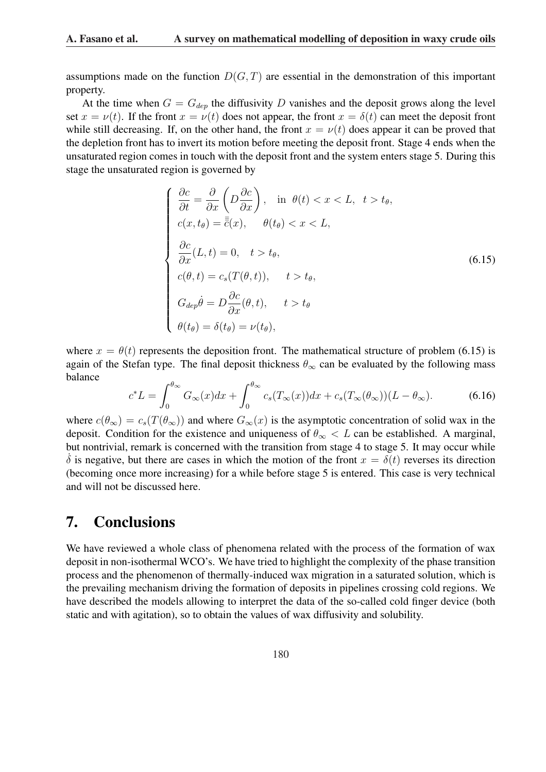assumptions made on the function  $D(G, T)$  are essential in the demonstration of this important property.

At the time when  $G = G_{dep}$  the diffusivity D vanishes and the deposit grows along the level set  $x = v(t)$ . If the front  $x = v(t)$  does not appear, the front  $x = \delta(t)$  can meet the deposit front while still decreasing. If, on the other hand, the front  $x = v(t)$  does appear it can be proved that the depletion front has to invert its motion before meeting the deposit front. Stage 4 ends when the unsaturated region comes in touch with the deposit front and the system enters stage 5. During this stage the unsaturated region is governed by

$$
\begin{cases}\n\frac{\partial c}{\partial t} = \frac{\partial}{\partial x} \left( D \frac{\partial c}{\partial x} \right), & \text{in } \theta(t) < x < L, \ t > t_{\theta}, \\
c(x, t_{\theta}) = \overline{\overline{c}}(x), & \theta(t_{\theta}) < x < L, \\
\frac{\partial c}{\partial x}(L, t) = 0, \ t > t_{\theta}, \\
c(\theta, t) = c_s(T(\theta, t)), \ t > t_{\theta}, \\
G_{dep}\dot{\theta} = D \frac{\partial c}{\partial x}(\theta, t), \ t > t_{\theta} \\
\theta(t_{\theta}) = \delta(t_{\theta}) = \nu(t_{\theta}),\n\end{cases} \tag{6.15}
$$

where  $x = \theta(t)$  represents the deposition front. The mathematical structure of problem (6.15) is again of the Stefan type. The final deposit thickness  $\theta_{\infty}$  can be evaluated by the following mass balance  $\int \theta \infty$  $\int \theta \infty$ 

$$
c^*L = \int_0^{\theta_{\infty}} G_{\infty}(x)dx + \int_0^{\theta_{\infty}} c_s(T_{\infty}(x))dx + c_s(T_{\infty}(\theta_{\infty}))(L - \theta_{\infty}).
$$
 (6.16)

where  $c(\theta_{\infty}) = c_s(T(\theta_{\infty}))$  and where  $G_{\infty}(x)$  is the asymptotic concentration of solid wax in the deposit. Condition for the existence and uniqueness of  $\theta_{\infty} < L$  can be established. A marginal, but nontrivial, remark is concerned with the transition from stage 4 to stage 5. It may occur while  $\delta$  is negative, but there are cases in which the motion of the front  $x = \delta(t)$  reverses its direction (becoming once more increasing) for a while before stage 5 is entered. This case is very technical and will not be discussed here.

# 7. Conclusions

We have reviewed a whole class of phenomena related with the process of the formation of wax deposit in non-isothermal WCO's. We have tried to highlight the complexity of the phase transition process and the phenomenon of thermally-induced wax migration in a saturated solution, which is the prevailing mechanism driving the formation of deposits in pipelines crossing cold regions. We have described the models allowing to interpret the data of the so-called cold finger device (both static and with agitation), so to obtain the values of wax diffusivity and solubility.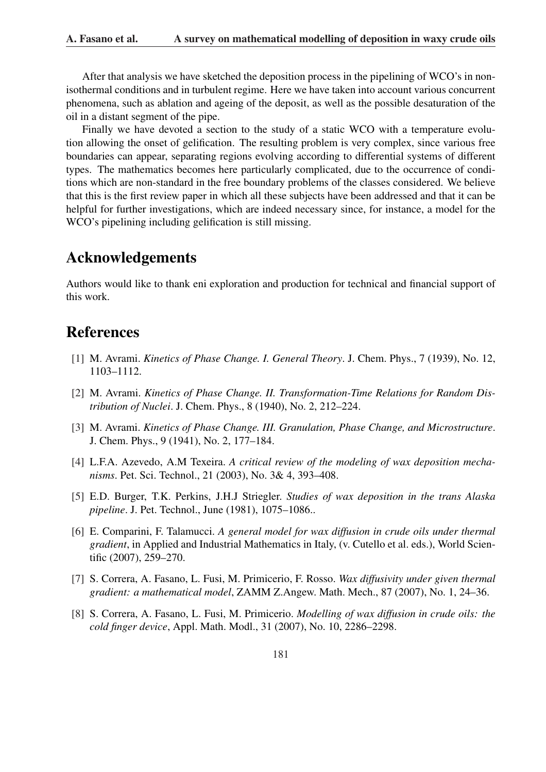After that analysis we have sketched the deposition process in the pipelining of WCO's in nonisothermal conditions and in turbulent regime. Here we have taken into account various concurrent phenomena, such as ablation and ageing of the deposit, as well as the possible desaturation of the oil in a distant segment of the pipe.

Finally we have devoted a section to the study of a static WCO with a temperature evolution allowing the onset of gelification. The resulting problem is very complex, since various free boundaries can appear, separating regions evolving according to differential systems of different types. The mathematics becomes here particularly complicated, due to the occurrence of conditions which are non-standard in the free boundary problems of the classes considered. We believe that this is the first review paper in which all these subjects have been addressed and that it can be helpful for further investigations, which are indeed necessary since, for instance, a model for the WCO's pipelining including gelification is still missing.

# Acknowledgements

Authors would like to thank eni exploration and production for technical and financial support of this work.

# References

- [1] M. Avrami. *Kinetics of Phase Change. I. General Theory*. J. Chem. Phys., 7 (1939), No. 12, 1103–1112.
- [2] M. Avrami. *Kinetics of Phase Change. II. Transformation-Time Relations for Random Distribution of Nuclei*. J. Chem. Phys., 8 (1940), No. 2, 212–224.
- [3] M. Avrami. *Kinetics of Phase Change. III. Granulation, Phase Change, and Microstructure*. J. Chem. Phys., 9 (1941), No. 2, 177–184.
- [4] L.F.A. Azevedo, A.M Texeira. *A critical review of the modeling of wax deposition mechanisms*. Pet. Sci. Technol., 21 (2003), No. 3& 4, 393–408.
- [5] E.D. Burger, T.K. Perkins, J.H.J Striegler. *Studies of wax deposition in the trans Alaska pipeline*. J. Pet. Technol., June (1981), 1075–1086..
- [6] E. Comparini, F. Talamucci. *A general model for wax diffusion in crude oils under thermal gradient*, in Applied and Industrial Mathematics in Italy, (v. Cutello et al. eds.), World Scientific (2007), 259–270.
- [7] S. Correra, A. Fasano, L. Fusi, M. Primicerio, F. Rosso. *Wax diffusivity under given thermal gradient: a mathematical model*, ZAMM Z.Angew. Math. Mech., 87 (2007), No. 1, 24–36.
- [8] S. Correra, A. Fasano, L. Fusi, M. Primicerio. *Modelling of wax diffusion in crude oils: the cold finger device*, Appl. Math. Modl., 31 (2007), No. 10, 2286–2298.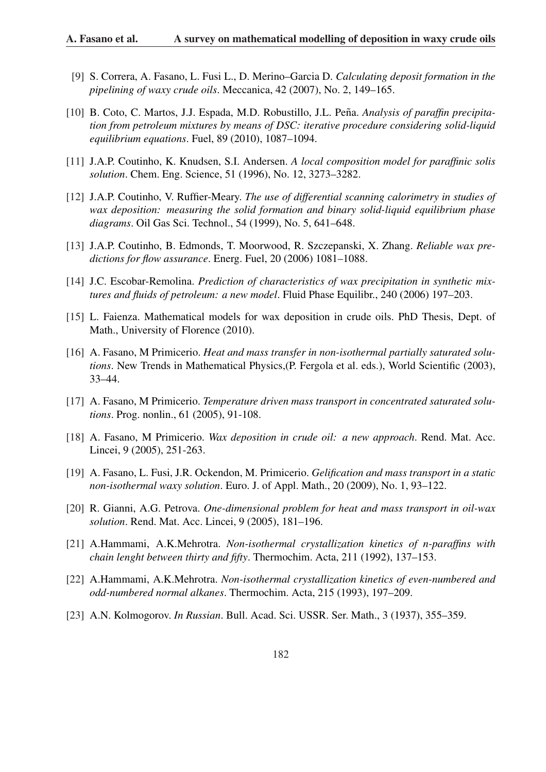- [9] S. Correra, A. Fasano, L. Fusi L., D. Merino–Garcia D. *Calculating deposit formation in the pipelining of waxy crude oils*. Meccanica, 42 (2007), No. 2, 149–165.
- [10] B. Coto, C. Martos, J.J. Espada, M.D. Robustillo, J.L. Peña. *Analysis of paraffin precipitation from petroleum mixtures by means of DSC: iterative procedure considering solid-liquid equilibrium equations*. Fuel, 89 (2010), 1087–1094.
- [11] J.A.P. Coutinho, K. Knudsen, S.I. Andersen. *A local composition model for paraffinic solis solution*. Chem. Eng. Science, 51 (1996), No. 12, 3273–3282.
- [12] J.A.P. Coutinho, V. Ruffier-Meary. *The use of differential scanning calorimetry in studies of wax deposition: measuring the solid formation and binary solid-liquid equilibrium phase diagrams*. Oil Gas Sci. Technol., 54 (1999), No. 5, 641–648.
- [13] J.A.P. Coutinho, B. Edmonds, T. Moorwood, R. Szczepanski, X. Zhang. *Reliable wax predictions for flow assurance*. Energ. Fuel, 20 (2006) 1081–1088.
- [14] J.C. Escobar-Remolina. *Prediction of characteristics of wax precipitation in synthetic mixtures and fluids of petroleum: a new model*. Fluid Phase Equilibr., 240 (2006) 197–203.
- [15] L. Faienza. Mathematical models for wax deposition in crude oils. PhD Thesis, Dept. of Math., University of Florence (2010).
- [16] A. Fasano, M Primicerio. *Heat and mass transfer in non-isothermal partially saturated solutions*. New Trends in Mathematical Physics,(P. Fergola et al. eds.), World Scientific (2003), 33–44.
- [17] A. Fasano, M Primicerio. *Temperature driven mass transport in concentrated saturated solutions*. Prog. nonlin., 61 (2005), 91-108.
- [18] A. Fasano, M Primicerio. *Wax deposition in crude oil: a new approach*. Rend. Mat. Acc. Lincei, 9 (2005), 251-263.
- [19] A. Fasano, L. Fusi, J.R. Ockendon, M. Primicerio. *Gelification and mass transport in a static non-isothermal waxy solution*. Euro. J. of Appl. Math., 20 (2009), No. 1, 93–122.
- [20] R. Gianni, A.G. Petrova. *One-dimensional problem for heat and mass transport in oil-wax solution*. Rend. Mat. Acc. Lincei, 9 (2005), 181–196.
- [21] A.Hammami, A.K.Mehrotra. *Non-isothermal crystallization kinetics of n-paraffins with chain lenght between thirty and fifty*. Thermochim. Acta, 211 (1992), 137–153.
- [22] A.Hammami, A.K.Mehrotra. *Non-isothermal crystallization kinetics of even-numbered and odd-numbered normal alkanes*. Thermochim. Acta, 215 (1993), 197–209.
- [23] A.N. Kolmogorov. *In Russian*. Bull. Acad. Sci. USSR. Ser. Math., 3 (1937), 355–359.